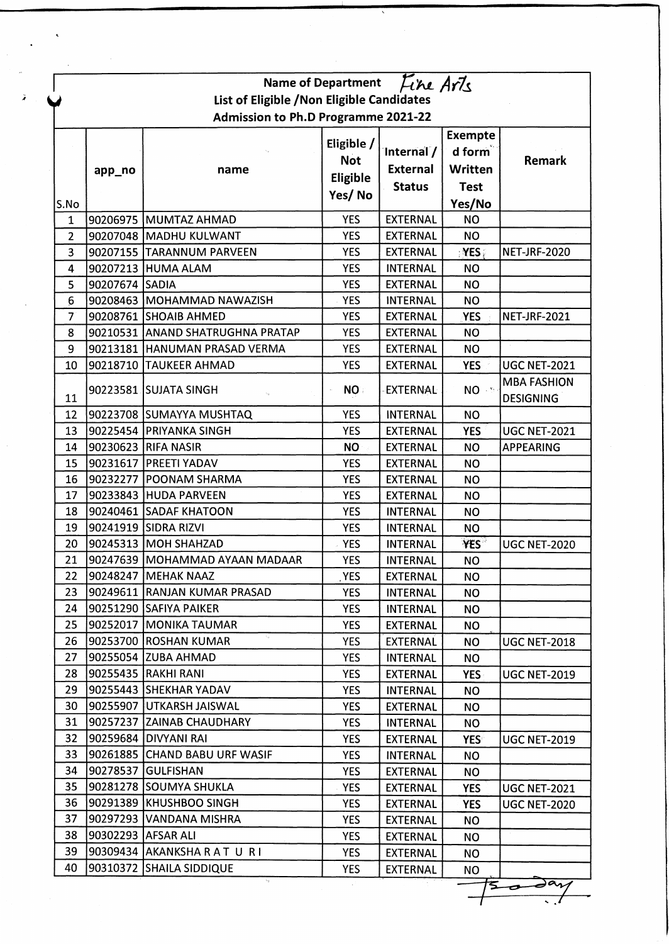| Fine Arts<br><b>Name of Department</b><br>List of Eligible / Non Eligible Candidates<br><b>Admission to Ph.D Programme 2021-22</b> |                    |                                  |                                                |                                                |                                                              |                                               |  |  |  |
|------------------------------------------------------------------------------------------------------------------------------------|--------------------|----------------------------------|------------------------------------------------|------------------------------------------------|--------------------------------------------------------------|-----------------------------------------------|--|--|--|
| S.No                                                                                                                               | app_no             | name                             | Eligible /<br><b>Not</b><br>Eligible<br>Yes/No | Internal /<br><b>External</b><br><b>Status</b> | <b>Exempte</b><br>d form<br>Written<br><b>Test</b><br>Yes/No | Remark                                        |  |  |  |
| $\mathbf{1}$                                                                                                                       |                    | 90206975 MUMTAZ AHMAD            | <b>YES</b>                                     | <b>EXTERNAL</b>                                | <b>NO</b>                                                    |                                               |  |  |  |
| $\overline{2}$                                                                                                                     |                    | 90207048 MADHU KULWANT           | <b>YES</b>                                     | <b>EXTERNAL</b>                                | <b>NO</b>                                                    |                                               |  |  |  |
| 3                                                                                                                                  |                    | 90207155 TARANNUM PARVEEN        | <b>YES</b>                                     | <b>EXTERNAL</b>                                | YES                                                          | <b>NET-JRF-2020</b>                           |  |  |  |
| 4                                                                                                                                  |                    | 90207213 HUMA ALAM               | <b>YES</b>                                     | <b>INTERNAL</b>                                | <b>NO</b>                                                    |                                               |  |  |  |
| 5                                                                                                                                  | 90207674 SADIA     |                                  | <b>YES</b>                                     | <b>EXTERNAL</b>                                | <b>NO</b>                                                    |                                               |  |  |  |
| $6\phantom{1}6$                                                                                                                    |                    | 90208463  MOHAMMAD NAWAZISH      | <b>YES</b>                                     | <b>INTERNAL</b>                                | <b>NO</b>                                                    |                                               |  |  |  |
| $\overline{7}$                                                                                                                     |                    | 90208761 SHOAIB AHMED            | <b>YES</b>                                     | <b>EXTERNAL</b>                                | <b>YES</b>                                                   | <b>NET-JRF-2021</b>                           |  |  |  |
| 8                                                                                                                                  |                    | 90210531 ANAND SHATRUGHNA PRATAP | <b>YES</b>                                     | <b>EXTERNAL</b>                                | <b>NO</b>                                                    |                                               |  |  |  |
| 9                                                                                                                                  |                    | 90213181 HANUMAN PRASAD VERMA    | <b>YES</b>                                     | <b>EXTERNAL</b>                                | <b>NO</b>                                                    |                                               |  |  |  |
| 10                                                                                                                                 |                    | 90218710 TAUKEER AHMAD           | <b>YES</b>                                     | <b>EXTERNAL</b>                                | <b>YES</b>                                                   | <b>UGC NET-2021</b>                           |  |  |  |
| 11                                                                                                                                 |                    | 90223581 SUJATA SINGH            | NO:                                            | <b>EXTERNAL</b>                                | NO - 5                                                       | <b>MBA FASHION</b><br><b>DESIGNING</b>        |  |  |  |
| 12                                                                                                                                 |                    | 90223708 SUMAYYA MUSHTAQ         | <b>YES</b>                                     | <b>INTERNAL</b>                                | <b>NO</b>                                                    |                                               |  |  |  |
| 13                                                                                                                                 |                    | 90225454 PRIYANKA SINGH          | <b>YES</b>                                     | <b>EXTERNAL</b>                                | <b>YES</b>                                                   | <b>UGC NET-2021</b>                           |  |  |  |
| 14                                                                                                                                 |                    | 90230623 RIFA NASIR              | <b>NO</b>                                      | <b>EXTERNAL</b>                                | <b>NO</b>                                                    | <b>APPEARING</b>                              |  |  |  |
| 15                                                                                                                                 |                    | 90231617   PREETI YADAV          | <b>YES</b>                                     | <b>EXTERNAL</b>                                | <b>NO</b>                                                    |                                               |  |  |  |
| 16                                                                                                                                 | 90232277           | <b>POONAM SHARMA</b>             | <b>YES</b>                                     | <b>EXTERNAL</b>                                | <b>NO</b>                                                    |                                               |  |  |  |
| 17                                                                                                                                 |                    | 90233843 HUDA PARVEEN            | <b>YES</b>                                     | <b>EXTERNAL</b>                                | <b>NO</b>                                                    |                                               |  |  |  |
| 18                                                                                                                                 |                    | 90240461 SADAF KHATOON           | <b>YES</b>                                     | <b>INTERNAL</b>                                | <b>NO</b>                                                    |                                               |  |  |  |
| 19                                                                                                                                 |                    | 90241919 SIDRA RIZVI             | <b>YES</b>                                     | <b>INTERNAL</b>                                | <b>NO</b>                                                    |                                               |  |  |  |
| 20                                                                                                                                 |                    | 90245313  MOH SHAHZAD            | <b>YES</b>                                     | <b>INTERNAL</b>                                | <b>YES</b>                                                   | <b>UGC NET-2020</b>                           |  |  |  |
| 21                                                                                                                                 |                    | 90247639  MOHAMMAD AYAAN MADAAR  | <b>YES</b>                                     | <b>INTERNAL</b>                                | <b>NO</b>                                                    |                                               |  |  |  |
| 22                                                                                                                                 |                    | 90248247   MEHAK NAAZ            | YES.                                           | <b>EXTERNAL</b>                                | ΝO                                                           |                                               |  |  |  |
| 23                                                                                                                                 |                    | 90249611 RANJAN KUMAR PRASAD     | <b>YES</b>                                     | <b>INTERNAL</b>                                | <b>NO</b>                                                    |                                               |  |  |  |
| 24                                                                                                                                 |                    | 90251290  SAFIYA PAIKER          | <b>YES</b>                                     | <b>INTERNAL</b>                                | <b>NO</b>                                                    |                                               |  |  |  |
| 25                                                                                                                                 |                    | 90252017   MONIKA TAUMAR         | <b>YES</b>                                     | <b>EXTERNAL</b>                                | <b>NO</b>                                                    |                                               |  |  |  |
| 26                                                                                                                                 | 90253700           | <b>ROSHAN KUMAR</b>              | <b>YES</b>                                     | EXTERNAL                                       | <b>NO</b>                                                    | <b>UGC NET-2018</b>                           |  |  |  |
| 27                                                                                                                                 |                    | 90255054 ZUBA AHMAD              | <b>YES</b>                                     | <b>INTERNAL</b>                                | <b>NO</b>                                                    |                                               |  |  |  |
| 28                                                                                                                                 |                    | 90255435 RAKHI RANI              | <b>YES</b>                                     | <b>EXTERNAL</b>                                | <b>YES</b>                                                   | <b>UGC NET-2019</b>                           |  |  |  |
| 29                                                                                                                                 |                    | 90255443 SHEKHAR YADAV           | <b>YES</b>                                     | <b>INTERNAL</b>                                | <b>NO</b>                                                    |                                               |  |  |  |
| 30                                                                                                                                 |                    | 90255907 UTKARSH JAISWAL         | <b>YES</b>                                     | <b>EXTERNAL</b>                                | <b>NO</b>                                                    |                                               |  |  |  |
| 31                                                                                                                                 |                    | 90257237 ZAINAB CHAUDHARY        | <b>YES</b>                                     | <b>INTERNAL</b>                                | <b>NO</b>                                                    |                                               |  |  |  |
| 32                                                                                                                                 |                    | 90259684 DIVYANI RAI             | <b>YES</b>                                     | <b>EXTERNAL</b>                                | YES                                                          | <b>UGC NET-2019</b>                           |  |  |  |
| 33                                                                                                                                 |                    | 90261885 CHAND BABU URF WASIF    | <b>YES</b>                                     | <b>INTERNAL</b>                                | <b>NO</b>                                                    |                                               |  |  |  |
| 34                                                                                                                                 |                    | 90278537 GULFISHAN               | <b>YES</b>                                     | <b>EXTERNAL</b>                                | <b>NO</b>                                                    |                                               |  |  |  |
| 35                                                                                                                                 |                    | 90281278 SOUMYA SHUKLA           | <b>YES</b>                                     | <b>EXTERNAL</b>                                | <b>YES</b>                                                   | <b>UGC NET-2021</b>                           |  |  |  |
| 36                                                                                                                                 |                    | 90291389 KHUSHBOO SINGH          | <b>YES</b>                                     | <b>EXTERNAL</b>                                | <b>YES</b>                                                   | <b>UGC NET-2020</b>                           |  |  |  |
| 37                                                                                                                                 |                    | 90297293 VANDANA MISHRA          | <b>YES</b>                                     | <b>EXTERNAL</b>                                | <b>NO</b>                                                    |                                               |  |  |  |
| 38                                                                                                                                 | 90302293 AFSAR ALI |                                  | <b>YES</b>                                     | <b>EXTERNAL</b>                                | <b>NO</b>                                                    |                                               |  |  |  |
| 39                                                                                                                                 |                    | 90309434  AKANKSHA RATURI        | <b>YES</b>                                     | <b>EXTERNAL</b>                                | <b>NO</b>                                                    |                                               |  |  |  |
| 40                                                                                                                                 |                    | 90310372 SHAILA SIDDIQUE         | <b>YES</b>                                     | <b>EXTERNAL</b>                                | <b>NO</b>                                                    |                                               |  |  |  |
|                                                                                                                                    |                    | $\gamma_{\rm{f}}$                |                                                |                                                | た                                                            | $\overline{\mathcal{S}^{\alpha} \mathcal{N}}$ |  |  |  |

 $\overline{\cdot}$  .